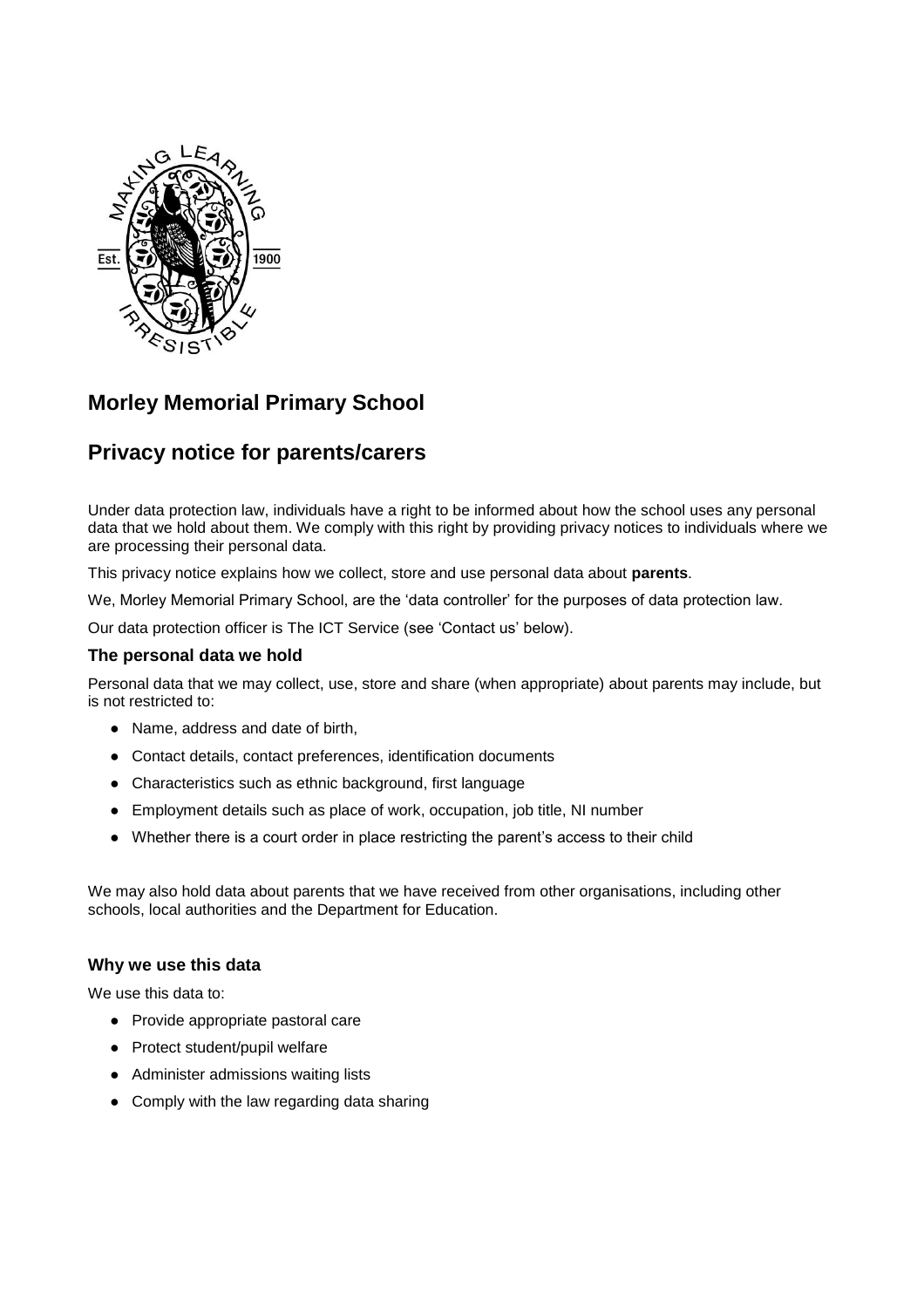

# **Morley Memorial Primary School**

# **Privacy notice for parents/carers**

Under data protection law, individuals have a right to be informed about how the school uses any personal data that we hold about them. We comply with this right by providing privacy notices to individuals where we are processing their personal data.

This privacy notice explains how we collect, store and use personal data about **parents**.

We, Morley Memorial Primary School, are the 'data controller' for the purposes of data protection law.

Our data protection officer is The ICT Service (see 'Contact us' below).

#### **The personal data we hold**

Personal data that we may collect, use, store and share (when appropriate) about parents may include, but is not restricted to:

- Name, address and date of birth,
- Contact details, contact preferences, identification documents
- Characteristics such as ethnic background, first language
- Employment details such as place of work, occupation, job title, NI number
- Whether there is a court order in place restricting the parent's access to their child

We may also hold data about parents that we have received from other organisations, including other schools, local authorities and the Department for Education.

#### **Why we use this data**

We use this data to:

- Provide appropriate pastoral care
- Protect student/pupil welfare
- Administer admissions waiting lists
- Comply with the law regarding data sharing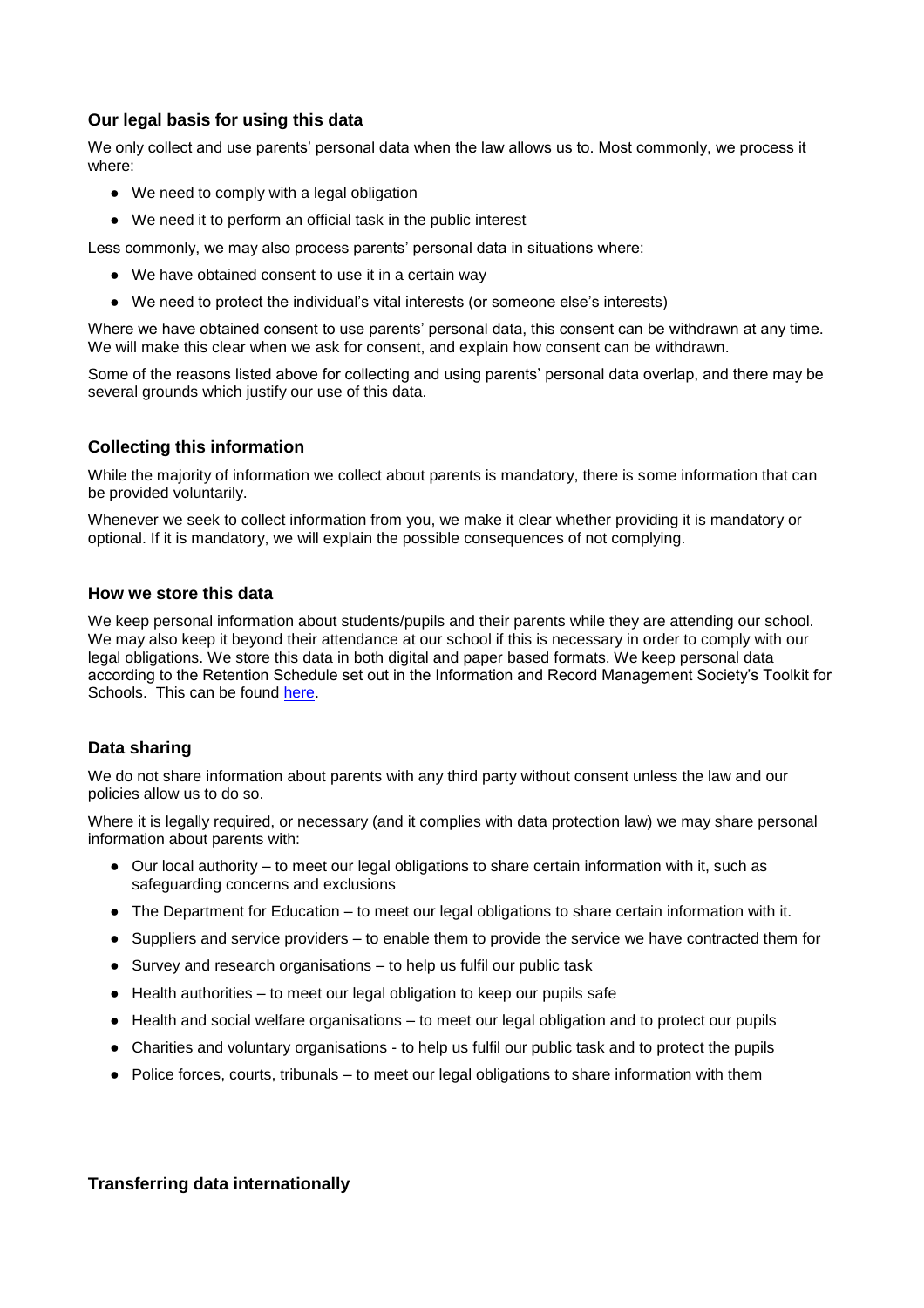## **Our legal basis for using this data**

We only collect and use parents' personal data when the law allows us to. Most commonly, we process it where:

- We need to comply with a legal obligation
- We need it to perform an official task in the public interest

Less commonly, we may also process parents' personal data in situations where:

- We have obtained consent to use it in a certain way
- We need to protect the individual's vital interests (or someone else's interests)

Where we have obtained consent to use parents' personal data, this consent can be withdrawn at any time. We will make this clear when we ask for consent, and explain how consent can be withdrawn.

Some of the reasons listed above for collecting and using parents' personal data overlap, and there may be several grounds which justify our use of this data.

### **Collecting this information**

While the majority of information we collect about parents is mandatory, there is some information that can be provided voluntarily.

Whenever we seek to collect information from you, we make it clear whether providing it is mandatory or optional. If it is mandatory, we will explain the possible consequences of not complying.

#### **How we store this data**

We keep personal information about students/pupils and their parents while they are attending our school. We may also keep it beyond their attendance at our school if this is necessary in order to comply with our legal obligations. We store this data in both digital and paper based formats. We keep personal data according to the Retention Schedule set out in the Information and Record Management Society's Toolkit for Schools. This can be found [here.](http://irms.org.uk/?page=schoolstoolkit&terms=%22toolkit+and+schools%22)

#### **Data sharing**

We do not share information about parents with any third party without consent unless the law and our policies allow us to do so.

Where it is legally required, or necessary (and it complies with data protection law) we may share personal information about parents with:

- Our local authority to meet our legal obligations to share certain information with it, such as safeguarding concerns and exclusions
- The Department for Education to meet our legal obligations to share certain information with it.
- Suppliers and service providers to enable them to provide the service we have contracted them for
- Survey and research organisations to help us fulfil our public task
- Health authorities to meet our legal obligation to keep our pupils safe
- Health and social welfare organisations to meet our legal obligation and to protect our pupils
- Charities and voluntary organisations to help us fulfil our public task and to protect the pupils
- Police forces, courts, tribunals to meet our legal obligations to share information with them

#### **Transferring data internationally**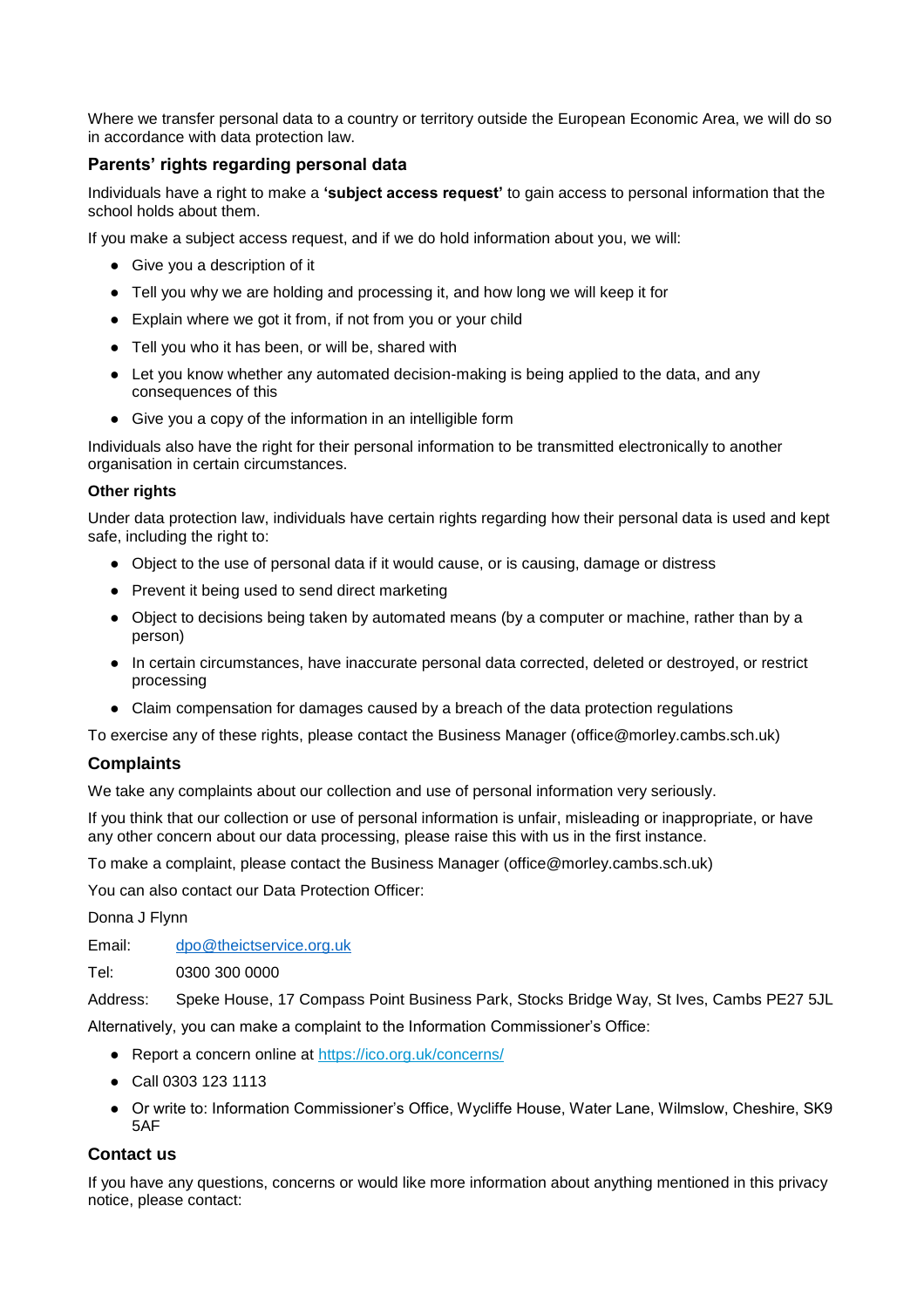Where we transfer personal data to a country or territory outside the European Economic Area, we will do so in accordance with data protection law.

# **Parents' rights regarding personal data**

Individuals have a right to make a **'subject access request'** to gain access to personal information that the school holds about them.

If you make a subject access request, and if we do hold information about you, we will:

- Give you a description of it
- Tell you why we are holding and processing it, and how long we will keep it for
- Explain where we got it from, if not from you or your child
- Tell you who it has been, or will be, shared with
- Let you know whether any automated decision-making is being applied to the data, and any consequences of this
- Give you a copy of the information in an intelligible form

Individuals also have the right for their personal information to be transmitted electronically to another organisation in certain circumstances.

#### **Other rights**

Under data protection law, individuals have certain rights regarding how their personal data is used and kept safe, including the right to:

- Object to the use of personal data if it would cause, or is causing, damage or distress
- Prevent it being used to send direct marketing
- Object to decisions being taken by automated means (by a computer or machine, rather than by a person)
- In certain circumstances, have inaccurate personal data corrected, deleted or destroyed, or restrict processing
- Claim compensation for damages caused by a breach of the data protection regulations

To exercise any of these rights, please contact the Business Manager (office@morley.cambs.sch.uk)

#### **Complaints**

We take any complaints about our collection and use of personal information very seriously.

If you think that our collection or use of personal information is unfair, misleading or inappropriate, or have any other concern about our data processing, please raise this with us in the first instance.

To make a complaint, please contact the Business Manager (office@morley.cambs.sch.uk)

You can also contact our Data Protection Officer:

Donna J Flynn

Email: [dpo@theictservice.org.uk](mailto:dpo@theictservice.org.uk)

Tel: 0300 300 0000

Address: Speke House, 17 Compass Point Business Park, Stocks Bridge Way, St Ives, Cambs PE27 5JL Alternatively, you can make a complaint to the Information Commissioner's Office:

- Report a concern online at<https://ico.org.uk/concerns/>
- Call 0303 123 1113
- Or write to: Information Commissioner's Office, Wycliffe House, Water Lane, Wilmslow, Cheshire, SK9 5AF

# **Contact us**

If you have any questions, concerns or would like more information about anything mentioned in this privacy notice, please contact: